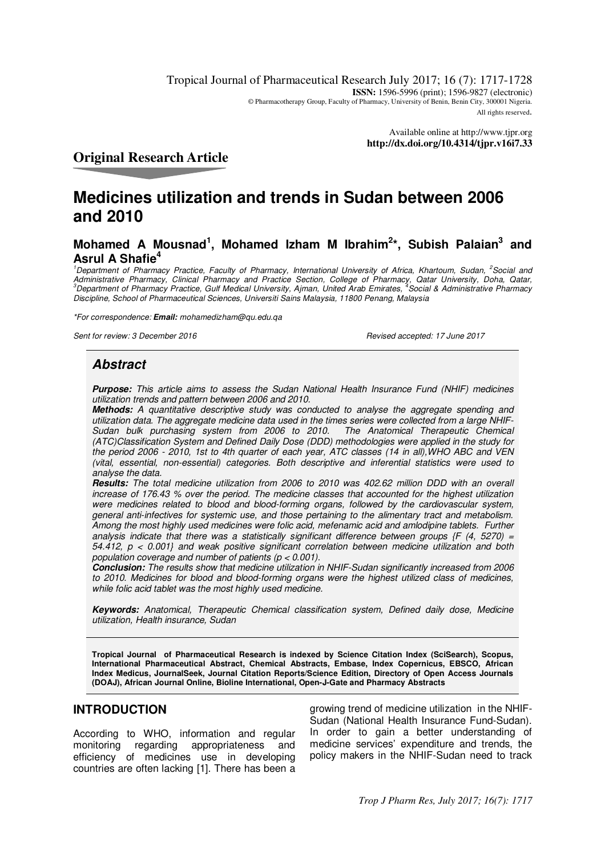Tropical Journal of Pharmaceutical Research July 2017; 16 (7): 1717-1728 **ISSN:** 1596-5996 (print); 1596-9827 (electronic) © Pharmacotherapy Group, Faculty of Pharmacy, University of Benin, Benin City, 300001 Nigeria. All rights reserved.

> Available online at <http://www.tjpr.org> **<http://dx.doi.org/10.4314/tjpr.v16i7.33>**

# **Original Research Article**

# **Medicines utilization and trends in Sudan between 2006 and 2010**

# **Mohamed A Mousnad<sup>1</sup> , Mohamed Izham M Ibrahim<sup>2</sup> \*, Subish Palaian<sup>3</sup> and Asrul A Shafie<sup>4</sup>**

<sup>1</sup>Department of Pharmacy Practice, Faculty of Pharmacy, International University of Africa, Khartoum, Sudan, <sup>2</sup>Social and Administrative Pharmacy, Clinical Pharmacy and Practice Section, College of Pharmacy, Qatar University, Doha, Qatar,<br><sup>3</sup>Department of Pharmacy Practice, Gulf Medical University, Ajman, United Arab Emirates, <sup>4</sup>Social & Adm Discipline, School of Pharmaceutical Sciences, Universiti Sains Malaysia, 11800 Penang, Malaysia

\*For correspondence: *Email:* [mohamedizham@qu.edu.qa](mailto:mohamedizham@qu.edu.qa)

Sent for review: 3 December 2016 **Revised accepted: 17 June 2017** Revised accepted: 17 June 2017

# *Abstract*

*Purpose:* This article aims to assess the Sudan National Health Insurance Fund (NHIF) medicines utilization trends and pattern between 2006 and 2010.

*Methods:* A quantitative descriptive study was conducted to analyse the aggregate spending and utilization data. The aggregate medicine data used in the times series were collected from a large NHIF-<br>Sudan bulk purchasing system from 2006 to 2010. The Anatomical Therapeutic Chemical Sudan bulk purchasing system from 2006 to 2010. (ATC)Classification System and Defined Daily Dose (DDD) methodologies were applied in the study for the period 2006 - 2010, 1st to 4th quarter of each year, ATC classes (14 in all),WHO ABC and VEN (vital, essential, non-essential) categories. Both descriptive and inferential statistics were used to analyse the data.

*Results:* The total medicine utilization from 2006 to 2010 was 402.62 million DDD with an overall increase of 176.43 % over the period. The medicine classes that accounted for the highest utilization were medicines related to blood and blood-forming organs, followed by the cardiovascular system, general anti-infectives for systemic use, and those pertaining to the alimentary tract and metabolism. Among the most highly used medicines were folic acid, mefenamic acid and amlodipine tablets. Further analysis indicate that there was a statistically significant difference between groups  $\{F(4, 5270) =$ 54.412, p < 0.001} and weak positive significant correlation between medicine utilization and both population coverage and number of patients ( $p < 0.001$ ).

*Conclusion:* The results show that medicine utilization in NHIF-Sudan significantly increased from 2006 to 2010. Medicines for blood and blood-forming organs were the highest utilized class of medicines, while folic acid tablet was the most highly used medicine.

*Keywords:* Anatomical, Therapeutic Chemical classification system, Defined daily dose, Medicine utilization, Health insurance, Sudan

**Tropical Journal of Pharmaceutical Research is indexed by Science Citation Index (SciSearch), Scopus, International Pharmaceutical Abstract, Chemical Abstracts, Embase, Index Copernicus, EBSCO, African Index Medicus, JournalSeek, Journal Citation Reports/Science Edition, Directory of Open Access Journals (DOAJ), African Journal Online, Bioline International, Open-J-Gate and Pharmacy Abstracts** 

# **INTRODUCTION**

According to WHO, information and regular monitoring regarding appropriateness and efficiency of medicines use in developing countries are often lacking [1]. There has been a

growing trend of medicine utilization in the NHIF-Sudan (National Health Insurance Fund-Sudan). In order to gain a better understanding of medicine services' expenditure and trends, the policy makers in the NHIF-Sudan need to track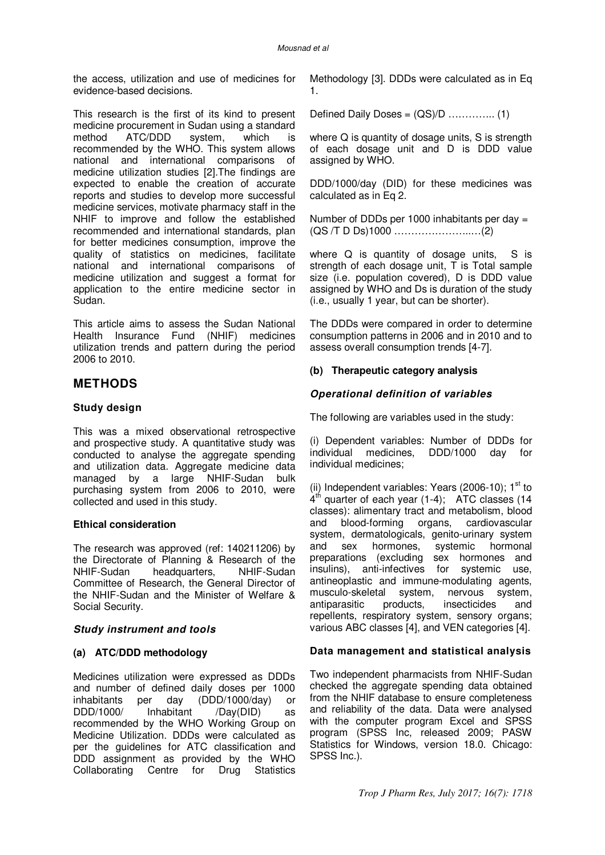the access, utilization and use of medicines for evidence-based decisions.

This research is the first of its kind to present medicine procurement in Sudan using a standard method ATC/DDD system, which is recommended by the WHO. This system allows national and international comparisons of medicine utilization studies [2].The findings are expected to enable the creation of accurate reports and studies to develop more successful medicine services, motivate pharmacy staff in the NHIF to improve and follow the established recommended and international standards, plan for better medicines consumption, improve the quality of statistics on medicines, facilitate national and international comparisons of medicine utilization and suggest a format for application to the entire medicine sector in Sudan.

This article aims to assess the Sudan National Health Insurance Fund (NHIF) medicines utilization trends and pattern during the period 2006 to 2010.

# **METHODS**

### **Study design**

This was a mixed observational retrospective and prospective study. A quantitative study was conducted to analyse the aggregate spending and utilization data. Aggregate medicine data managed by a large NHIF-Sudan bulk purchasing system from 2006 to 2010, were collected and used in this study.

#### **Ethical consideration**

The research was approved (ref: 140211206) by the Directorate of Planning & Research of the<br>NHIF-Sudan beadquarters, NHIF-Sudan headquarters, NHIF-Sudan Committee of Research, the General Director of the NHIF-Sudan and the Minister of Welfare & Social Security.

#### *Study instrument and tools*

### **(a) ATC/DDD methodology**

Medicines utilization were expressed as DDDs and number of defined daily doses per 1000 inhabitants per day (DDD/1000/day) or DDD/1000/ Inhabitant /Day(DID) as recommended by the WHO Working Group on Medicine Utilization. DDDs were calculated as per the guidelines for ATC classification and DDD assignment as provided by the WHO Collaborating Centre for Drug Statistics

Methodology [3]. DDDs were calculated as in Eq 1.

Defined Daily Doses = (QS)/D ………….. (1)

where Q is quantity of dosage units, S is strength of each dosage unit and D is DDD value assigned by WHO.

DDD/1000/day (DID) for these medicines was calculated as in Eq 2.

Number of DDDs per 1000 inhabitants per day = (QS /T D Ds)1000 …………………..…(2)

where Q is quantity of dosage units. S is strength of each dosage unit. T is Total sample size (i.e. population covered), D is DDD value assigned by WHO and Ds is duration of the study (i.e., usually 1 year, but can be shorter).

The DDDs were compared in order to determine consumption patterns in 2006 and in 2010 and to assess overall consumption trends [4-7].

### **(b) Therapeutic category analysis**

#### *Operational definition of variables*

The following are variables used in the study:

(i) Dependent variables: Number of DDDs for individual medicines, DDD/1000 day for individual medicines;

(ii) Independent variables: Years (2006-10);  $1<sup>st</sup>$  to  $4<sup>th</sup>$  quarter of each year (1-4); ATC classes (14 classes): alimentary tract and metabolism, blood and blood-forming organs, cardiovascular system, dermatologicals, genito-urinary system and sex hormones, systemic hormonal preparations (excluding sex hormones and insulins), anti-infectives for systemic use, antineoplastic and immune-modulating agents, musculo-skeletal system, nervous system,<br>antiparasitic products, insecticides and insecticides and repellents, respiratory system, sensory organs; various ABC classes [4], and VEN categories [4].

#### **Data management and statistical analysis**

Two independent pharmacists from NHIF-Sudan checked the aggregate spending data obtained from the NHIF database to ensure completeness and reliability of the data. Data were analysed with the computer program Excel and SPSS program (SPSS Inc, released 2009; PASW Statistics for Windows, version 18.0. Chicago: SPSS Inc.).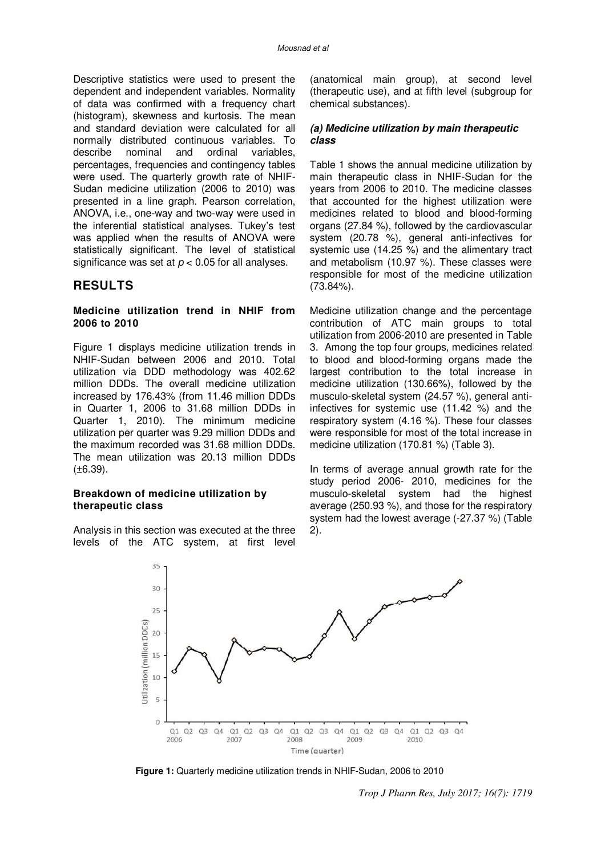Descriptive statistics were used to present the dependent and independent variables. Normality of data was confirmed with a frequency chart (histogram), skewness and kurtosis. The mean and standard deviation were calculated for all normally distributed continuous variables. To describe nominal and ordinal variables, percentages, frequencies and contingency tables were used. The quarterly growth rate of NHIF-Sudan medicine utilization (2006 to 2010) was presented in a line graph. Pearson correlation, ANOVA, i.e., one-way and two-way were used in the inferential statistical analyses. Tukey's test was applied when the results of ANOVA were statistically significant. The level of statistical significance was set at  $p < 0.05$  for all analyses.

### **RESULTS**

#### **Medicine utilization trend in NHIF from 2006 to 2010**

Figure 1 displays medicine utilization trends in NHIF-Sudan between 2006 and 2010. Total utilization via DDD methodology was 402.62 million DDDs. The overall medicine utilization increased by 176.43% (from 11.46 million DDDs in Quarter 1, 2006 to 31.68 million DDDs in Quarter 1, 2010). The minimum medicine utilization per quarter was 9.29 million DDDs and the maximum recorded was 31.68 million DDDs. The mean utilization was 20.13 million DDDs  $(\pm 6.39)$ .

### **Breakdown of medicine utilization by therapeutic class**

Analysis in this section was executed at the three levels of the ATC system, at first level

(anatomical main group), at second level (therapeutic use), and at fifth level (subgroup for chemical substances).

#### *(a) Medicine utilization by main therapeutic class*

Table 1 shows the annual medicine utilization by main therapeutic class in NHIF-Sudan for the years from 2006 to 2010. The medicine classes that accounted for the highest utilization were medicines related to blood and blood-forming organs (27.84 %), followed by the cardiovascular system (20.78 %), general anti-infectives for systemic use (14.25 %) and the alimentary tract and metabolism (10.97 %). These classes were responsible for most of the medicine utilization (73.84%).

Medicine utilization change and the percentage contribution of ATC main groups to total utilization from 2006-2010 are presented in Table 3. Among the top four groups, medicines related to blood and blood-forming organs made the largest contribution to the total increase in medicine utilization (130.66%), followed by the musculo-skeletal system (24.57 %), general antiinfectives for systemic use (11.42 %) and the respiratory system (4.16 %). These four classes were responsible for most of the total increase in medicine utilization (170.81 %) (Table 3).

In terms of average annual growth rate for the study period 2006- 2010, medicines for the musculo-skeletal system had the highest average (250.93 %), and those for the respiratory system had the lowest average (-27.37 %) (Table 2).



 **Figure 1:** Quarterly medicine utilization trends in NHIF-Sudan, 2006 to 2010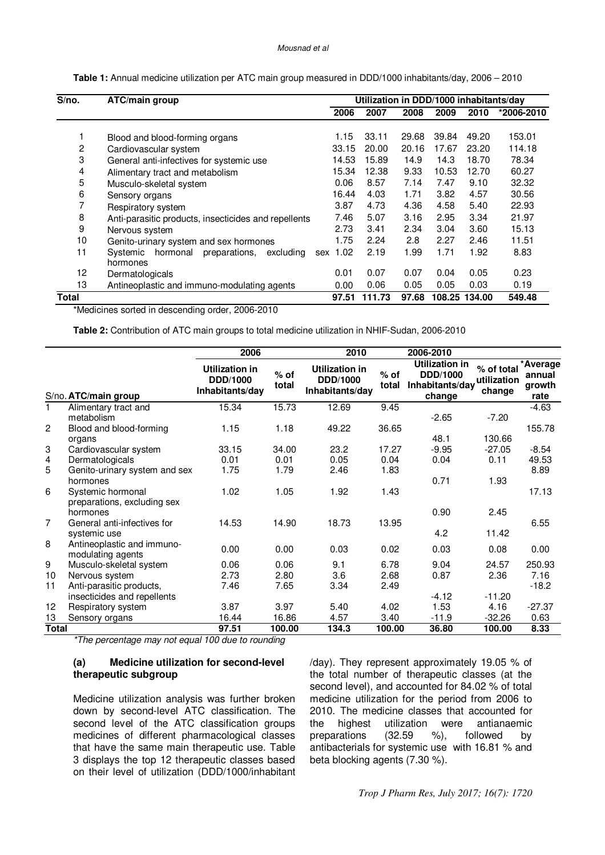| Table 1: Annual medicine utilization per ATC main group measured in DDD/1000 inhabitants/day, 2006 - 2010 |  |  |  |
|-----------------------------------------------------------------------------------------------------------|--|--|--|
|-----------------------------------------------------------------------------------------------------------|--|--|--|

| S/no.        | ATC/main group                                                 | Utilization in DDD/1000 inhabitants/day |        |       |       |               |            |  |
|--------------|----------------------------------------------------------------|-----------------------------------------|--------|-------|-------|---------------|------------|--|
|              |                                                                | 2006                                    | 2007   | 2008  | 2009  | 2010          | *2006-2010 |  |
|              |                                                                | 1.15                                    | 33.11  | 29.68 | 39.84 | 49.20         | 153.01     |  |
| 2            | Blood and blood-forming organs<br>Cardiovascular system        | 33.15                                   | 20.00  | 20.16 | 17.67 | 23.20         | 114.18     |  |
| 3            | General anti-infectives for systemic use                       | 14.53                                   | 15.89  | 14.9  | 14.3  | 18.70         | 78.34      |  |
| 4            | Alimentary tract and metabolism                                | 15.34                                   | 12.38  | 9.33  | 10.53 | 12.70         | 60.27      |  |
| 5            | Musculo-skeletal system                                        | 0.06                                    | 8.57   | 7.14  | 7.47  | 9.10          | 32.32      |  |
| 6            | Sensory organs                                                 | 16.44                                   | 4.03   | 1.71  | 3.82  | 4.57          | 30.56      |  |
| 7            | Respiratory system                                             | 3.87                                    | 4.73   | 4.36  | 4.58  | 5.40          | 22.93      |  |
| 8            | Anti-parasitic products, insecticides and repellents           | 7.46                                    | 5.07   | 3.16  | 2.95  | 3.34          | 21.97      |  |
| 9            | Nervous system                                                 | 2.73                                    | 3.41   | 2.34  | 3.04  | 3.60          | 15.13      |  |
| 10           | Genito-urinary system and sex hormones                         | 1.75                                    | 2.24   | 2.8   | 2.27  | 2.46          | 11.51      |  |
| 11           | hormonal<br>Svstemic<br>preparations,<br>excluding<br>hormones | 1.02<br>sex                             | 2.19   | 1.99  | 1.71  | 1.92          | 8.83       |  |
| 12           | Dermatologicals                                                | 0.01                                    | 0.07   | 0.07  | 0.04  | 0.05          | 0.23       |  |
| 13           | Antineoplastic and immuno-modulating agents                    | 0.00                                    | 0.06   | 0.05  | 0.05  | 0.03          | 0.19       |  |
| <b>Total</b> |                                                                | 97.51                                   | 111.73 | 97.68 |       | 108.25 134.00 | 549.48     |  |

\*Medicines sorted in descending order, 2006-2010

**Table 2:** Contribution of ATC main groups to total medicine utilization in NHIF-Sudan, 2006-2010

|                |                                                  | 2006                                          |                 | 2010                                                 | 2006-2010       |                                                         |                                     |                                      |
|----------------|--------------------------------------------------|-----------------------------------------------|-----------------|------------------------------------------------------|-----------------|---------------------------------------------------------|-------------------------------------|--------------------------------------|
|                | S/no. ATC/main group                             | Utilization in<br>DDD/1000<br>Inhabitants/day | $%$ of<br>total | Utilization in<br><b>DDD/1000</b><br>Inhabitants/day | $%$ of<br>total | Utilization in<br>DDD/1000<br>Inhabitants/day<br>change | % of total<br>utilization<br>change | *Average<br>annual<br>growth<br>rate |
| 1              | Alimentary tract and                             | 15.34                                         | 15.73           | 12.69                                                | 9.45            |                                                         |                                     | $-4.63$                              |
|                | metabolism                                       |                                               |                 |                                                      |                 | $-2.65$                                                 | $-7.20$                             |                                      |
| $\overline{c}$ | Blood and blood-forming                          | 1.15                                          | 1.18            | 49.22                                                | 36.65           |                                                         |                                     | 155.78                               |
|                | organs                                           |                                               |                 |                                                      |                 | 48.1                                                    | 130.66                              |                                      |
| 3              | Cardiovascular system                            | 33.15                                         | 34.00           | 23.2                                                 | 17.27           | $-9.95$                                                 | $-27.05$                            | $-8.54$                              |
| 4              | Dermatologicals                                  | 0.01                                          | 0.01            | 0.05                                                 | 0.04            | 0.04                                                    | 0.11                                | 49.53                                |
| 5              | Genito-urinary system and sex                    | 1.75                                          | 1.79            | 2.46                                                 | 1.83            |                                                         |                                     | 8.89                                 |
|                | hormones                                         |                                               |                 |                                                      |                 | 0.71                                                    | 1.93                                |                                      |
| 6              | Systemic hormonal<br>preparations, excluding sex | 1.02                                          | 1.05            | 1.92                                                 | 1.43            |                                                         |                                     | 17.13                                |
|                | hormones                                         |                                               |                 |                                                      |                 | 0.90                                                    | 2.45                                |                                      |
| $\overline{7}$ | General anti-infectives for<br>systemic use      | 14.53                                         | 14.90           | 18.73                                                | 13.95           | 4.2                                                     | 11.42                               | 6.55                                 |
| 8              | Antineoplastic and immuno-<br>modulating agents  | 0.00                                          | 0.00            | 0.03                                                 | 0.02            | 0.03                                                    | 0.08                                | 0.00                                 |
| 9              | Musculo-skeletal system                          | 0.06                                          | 0.06            | 9.1                                                  | 6.78            | 9.04                                                    | 24.57                               | 250.93                               |
| 10             | Nervous system                                   | 2.73                                          | 2.80            | 3.6                                                  | 2.68            | 0.87                                                    | 2.36                                | 7.16                                 |
| 11             | Anti-parasitic products,                         | 7.46                                          | 7.65            | 3.34                                                 | 2.49            |                                                         |                                     | $-18.2$                              |
|                | insecticides and repellents                      |                                               |                 |                                                      |                 | $-4.12$                                                 | $-11.20$                            |                                      |
| 12             | Respiratory system                               | 3.87                                          | 3.97            | 5.40                                                 | 4.02            | 1.53                                                    | 4.16                                | $-27.37$                             |
| 13             | Sensory organs                                   | 16.44                                         | 16.86           | 4.57                                                 | 3.40            | $-11.9$                                                 | $-32.26$                            | 0.63                                 |
| Total          |                                                  | 97.51                                         | 100.00          | 134.3                                                | 100.00          | 36.80                                                   | 100.00                              | 8.33                                 |

\*The percentage may not equal 100 due to rounding

### **(a) Medicine utilization for second-level therapeutic subgroup**

Medicine utilization analysis was further broken down by second-level ATC classification. The second level of the ATC classification groups medicines of different pharmacological classes that have the same main therapeutic use. Table 3 displays the top 12 therapeutic classes based on their level of utilization (DDD/1000/inhabitant

/day). They represent approximately 19.05 % of the total number of therapeutic classes (at the second level), and accounted for 84.02 % of total medicine utilization for the period from 2006 to 2010. The medicine classes that accounted for the highest utilization were antianaemic preparations (32.59 %), followed by antibacterials for systemic use with 16.81 % and beta blocking agents (7.30 %).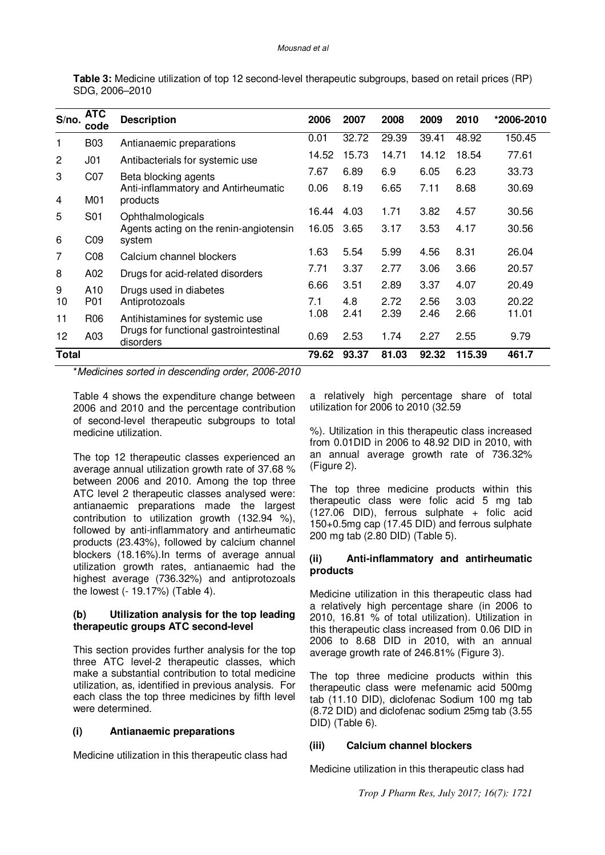**Table 3:** Medicine utilization of top 12 second-level therapeutic subgroups, based on retail prices (RP) SDG, 2006–2010

| S/no.          | <b>ATC</b><br>code | <b>Description</b>                                 | 2006  | 2007  | 2008  | 2009  | 2010   | *2006-2010 |
|----------------|--------------------|----------------------------------------------------|-------|-------|-------|-------|--------|------------|
| 1              | <b>B03</b>         | Antianaemic preparations                           | 0.01  | 32.72 | 29.39 | 39.41 | 48.92  | 150.45     |
| $\overline{2}$ | J <sub>01</sub>    | Antibacterials for systemic use                    | 14.52 | 15.73 | 14.71 | 14.12 | 18.54  | 77.61      |
| 3              | C <sub>07</sub>    | Beta blocking agents                               | 7.67  | 6.89  | 6.9   | 6.05  | 6.23   | 33.73      |
| 4              | M01                | Anti-inflammatory and Antirheumatic<br>products    | 0.06  | 8.19  | 6.65  | 7.11  | 8.68   | 30.69      |
| 5              | S <sub>01</sub>    | Ophthalmologicals                                  | 16.44 | 4.03  | 1.71  | 3.82  | 4.57   | 30.56      |
| 6              | CO <sub>9</sub>    | Agents acting on the renin-angiotensin<br>system   | 16.05 | 3.65  | 3.17  | 3.53  | 4.17   | 30.56      |
| 7              | C <sub>08</sub>    | Calcium channel blockers                           | 1.63  | 5.54  | 5.99  | 4.56  | 8.31   | 26.04      |
| 8              | A02                | Drugs for acid-related disorders                   | 7.71  | 3.37  | 2.77  | 3.06  | 3.66   | 20.57      |
| 9              | A10                | Drugs used in diabetes                             | 6.66  | 3.51  | 2.89  | 3.37  | 4.07   | 20.49      |
| 10             | P01                | Antiprotozoals                                     | 7.1   | 4.8   | 2.72  | 2.56  | 3.03   | 20.22      |
| 11             | R <sub>06</sub>    | Antihistamines for systemic use                    | 1.08  | 2.41  | 2.39  | 2.46  | 2.66   | 11.01      |
| 12             | A03                | Drugs for functional gastrointestinal<br>disorders | 0.69  | 2.53  | 1.74  | 2.27  | 2.55   | 9.79       |
| <b>Total</b>   |                    |                                                    | 79.62 | 93.37 | 81.03 | 92.32 | 115.39 | 461.7      |

\*Medicines sorted in descending order, 2006-2010

Table 4 shows the expenditure change between 2006 and 2010 and the percentage contribution of second-level therapeutic subgroups to total medicine utilization.

The top 12 therapeutic classes experienced an average annual utilization growth rate of 37.68 % between 2006 and 2010. Among the top three ATC level 2 therapeutic classes analysed were: antianaemic preparations made the largest contribution to utilization growth (132.94 %), followed by anti-inflammatory and antirheumatic products (23.43%), followed by calcium channel blockers (18.16%).In terms of average annual utilization growth rates, antianaemic had the highest average (736.32%) and antiprotozoals the lowest (- 19.17%) (Table 4).

#### **(b) Utilization analysis for the top leading therapeutic groups ATC second-level**

This section provides further analysis for the top three ATC level-2 therapeutic classes, which make a substantial contribution to total medicine utilization, as, identified in previous analysis. For each class the top three medicines by fifth level were determined.

### **(i) Antianaemic preparations**

Medicine utilization in this therapeutic class had

a relatively high percentage share of total utilization for 2006 to 2010 (32.59

%). Utilization in this therapeutic class increased from 0.01DID in 2006 to 48.92 DID in 2010, with an annual average growth rate of 736.32% (Figure 2).

The top three medicine products within this therapeutic class were folic acid 5 mg tab (127.06 DID), ferrous sulphate + folic acid 150+0.5mg cap (17.45 DID) and ferrous sulphate 200 mg tab (2.80 DID) (Table 5).

#### **(ii) Anti-inflammatory and antirheumatic products**

Medicine utilization in this therapeutic class had a relatively high percentage share (in 2006 to 2010, 16.81 % of total utilization). Utilization in this therapeutic class increased from 0.06 DID in 2006 to 8.68 DID in 2010, with an annual average growth rate of 246.81% (Figure 3).

The top three medicine products within this therapeutic class were mefenamic acid 500mg tab (11.10 DID), diclofenac Sodium 100 mg tab (8.72 DID) and diclofenac sodium 25mg tab (3.55 DID) (Table 6).

### **(iii) Calcium channel blockers**

Medicine utilization in this therapeutic class had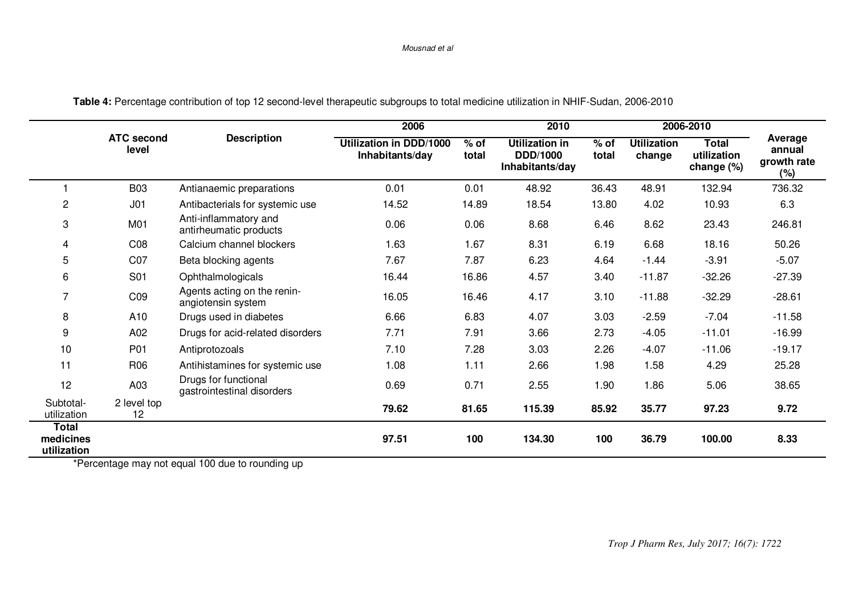|                                          |                            |                                                    | 2006                                              |                 | 2010                                                        |                 | 2006-2010                    |                                           |                                            |
|------------------------------------------|----------------------------|----------------------------------------------------|---------------------------------------------------|-----------------|-------------------------------------------------------------|-----------------|------------------------------|-------------------------------------------|--------------------------------------------|
|                                          | <b>ATC second</b><br>level | <b>Description</b>                                 | <b>Utilization in DDD/1000</b><br>Inhabitants/day | $%$ of<br>total | <b>Utilization in</b><br><b>DDD/1000</b><br>Inhabitants/day | $%$ of<br>total | <b>Utilization</b><br>change | <b>Total</b><br>utilization<br>change (%) | Average<br>annual<br>growth rate<br>$(\%)$ |
|                                          | <b>B03</b>                 | Antianaemic preparations                           | 0.01                                              | 0.01            | 48.92                                                       | 36.43           | 48.91                        | 132.94                                    | 736.32                                     |
| $\overline{c}$                           | J <sub>01</sub>            | Antibacterials for systemic use                    | 14.52                                             | 14.89           | 18.54                                                       | 13.80           | 4.02                         | 10.93                                     | 6.3                                        |
| 3                                        | M01                        | Anti-inflammatory and<br>antirheumatic products    | 0.06                                              | 0.06            | 8.68                                                        | 6.46            | 8.62                         | 23.43                                     | 246.81                                     |
| 4                                        | C08                        | Calcium channel blockers                           | 1.63                                              | 1.67            | 8.31                                                        | 6.19            | 6.68                         | 18.16                                     | 50.26                                      |
| 5                                        | C <sub>07</sub>            | Beta blocking agents                               | 7.67                                              | 7.87            | 6.23                                                        | 4.64            | $-1.44$                      | $-3.91$                                   | $-5.07$                                    |
| 6                                        | S01                        | Ophthalmologicals                                  | 16.44                                             | 16.86           | 4.57                                                        | 3.40            | $-11.87$                     | $-32.26$                                  | $-27.39$                                   |
| 7                                        | C <sub>09</sub>            | Agents acting on the renin-<br>angiotensin system  | 16.05                                             | 16.46           | 4.17                                                        | 3.10            | $-11.88$                     | $-32.29$                                  | $-28.61$                                   |
| 8                                        | A10                        | Drugs used in diabetes                             | 6.66                                              | 6.83            | 4.07                                                        | 3.03            | $-2.59$                      | $-7.04$                                   | $-11.58$                                   |
| 9                                        | A02                        | Drugs for acid-related disorders                   | 7.71                                              | 7.91            | 3.66                                                        | 2.73            | $-4.05$                      | $-11.01$                                  | $-16.99$                                   |
| 10                                       | P01                        | Antiprotozoals                                     | 7.10                                              | 7.28            | 3.03                                                        | 2.26            | $-4.07$                      | $-11.06$                                  | $-19.17$                                   |
| 11                                       | R06                        | Antihistamines for systemic use                    | 1.08                                              | 1.11            | 2.66                                                        | 1.98            | 1.58                         | 4.29                                      | 25.28                                      |
| 12                                       | A03                        | Drugs for functional<br>gastrointestinal disorders | 0.69                                              | 0.71            | 2.55                                                        | 1.90            | 1.86                         | 5.06                                      | 38.65                                      |
| Subtotal-<br>utilization                 | 2 level top<br>12          |                                                    | 79.62                                             | 81.65           | 115.39                                                      | 85.92           | 35.77                        | 97.23                                     | 9.72                                       |
| <b>Total</b><br>medicines<br>utilization |                            |                                                    | 97.51                                             | 100             | 134.30                                                      | 100             | 36.79                        | 100.00                                    | 8.33                                       |

**Table 4:** Percentage contribution of top 12 second-level therapeutic subgroups to total medicine utilization in NHIF-Sudan, 2006-2010

\*Percentage may not equal 100 due to rounding up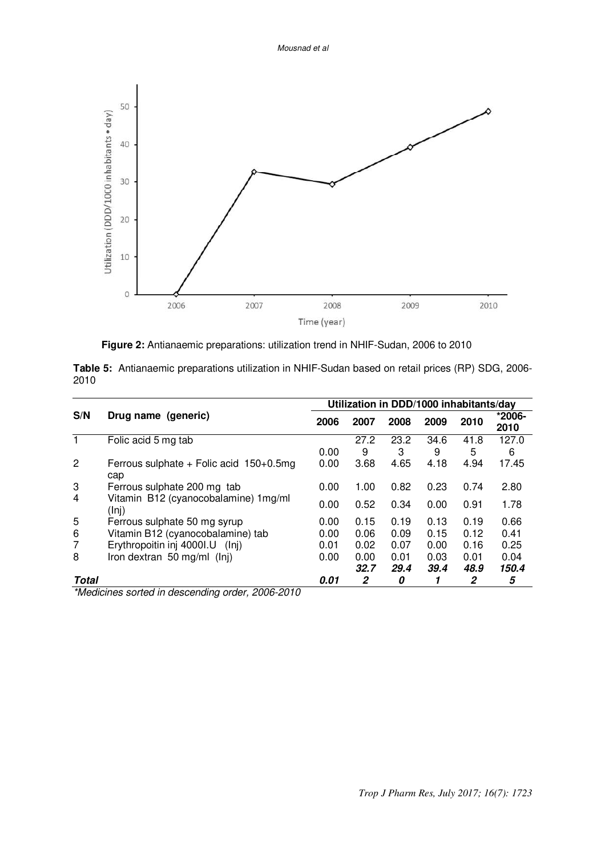

 **Figure 2:** Antianaemic preparations: utilization trend in NHIF-Sudan, 2006 to 2010

**Table 5:** Antianaemic preparations utilization in NHIF-Sudan based on retail prices (RP) SDG, 2006- 2010

|              | Utilization in DDD/1000 inhabitants/day           |      |      |      |      |      |                |
|--------------|---------------------------------------------------|------|------|------|------|------|----------------|
| S/N          | Drug name (generic)                               | 2006 | 2007 | 2008 | 2009 | 2010 | *2006-<br>2010 |
|              | Folic acid 5 mg tab                               |      | 27.2 | 23.2 | 34.6 | 41.8 | 127.0          |
|              |                                                   | 0.00 | 9    | 3    | 9    | 5    | 6              |
| 2            | Ferrous sulphate + Folic acid $150+0.5mg$<br>cap  | 0.00 | 3.68 | 4.65 | 4.18 | 4.94 | 17.45          |
| 3            | Ferrous sulphate 200 mg tab                       | 0.00 | 1.00 | 0.82 | 0.23 | 0.74 | 2.80           |
| 4            | Vitamin B12 (cyanocobalamine) 1mg/ml<br>(lni)     | 0.00 | 0.52 | 0.34 | 0.00 | 0.91 | 1.78           |
| 5            | Ferrous sulphate 50 mg syrup                      | 0.00 | 0.15 | 0.19 | 0.13 | 0.19 | 0.66           |
| 6            | Vitamin B12 (cyanocobalamine) tab                 | 0.00 | 0.06 | 0.09 | 0.15 | 0.12 | 0.41           |
| 7            | Erythropoitin inj 4000I.U (Inj)                   | 0.01 | 0.02 | 0.07 | 0.00 | 0.16 | 0.25           |
| 8            | Iron dextran 50 mg/ml $(lni)$                     | 0.00 | 0.00 | 0.01 | 0.03 | 0.01 | 0.04           |
|              |                                                   |      | 32.7 | 29.4 | 39.4 | 48.9 | 150.4          |
| <b>Total</b> | *Modicines serted in descending erder, 2006, 2010 | 0.01 | 2    | 0    |      | 2    | 5              |

\*Medicines sorted in descending order, 2006-2010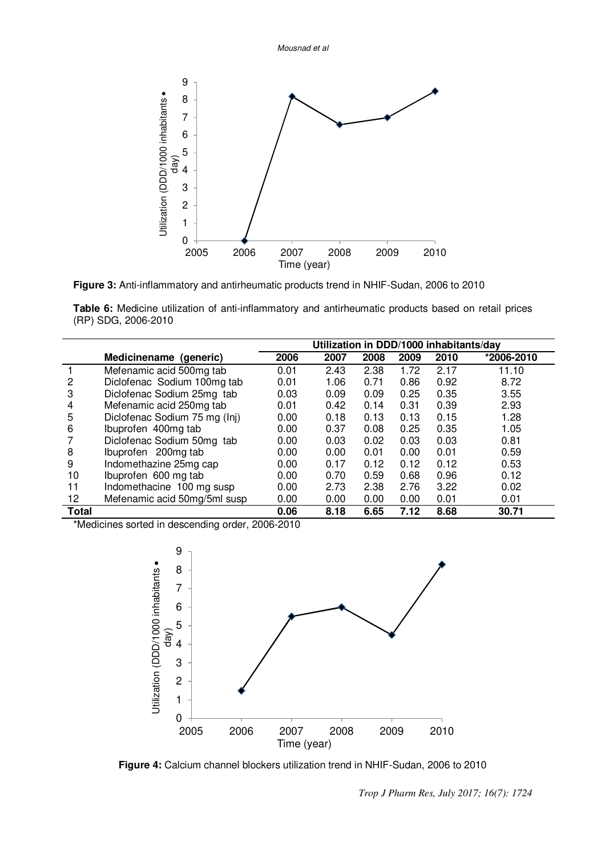

**Figure 3:** Anti-inflammatory and antirheumatic products trend in NHIF-Sudan, 2006 to 2010

**Table 6:** Medicine utilization of anti-inflammatory and antirheumatic products based on retail prices (RP) SDG, 2006-2010

|       |                               | Utilization in DDD/1000 inhabitants/day |      |      |      |      |            |
|-------|-------------------------------|-----------------------------------------|------|------|------|------|------------|
|       | Medicinename (generic)        | 2006                                    | 2007 | 2008 | 2009 | 2010 | *2006-2010 |
|       | Mefenamic acid 500mg tab      | 0.01                                    | 2.43 | 2.38 | 1.72 | 2.17 | 11.10      |
| 2     | Diclofenac Sodium 100mg tab   | 0.01                                    | 1.06 | 0.71 | 0.86 | 0.92 | 8.72       |
| 3     | Diclofenac Sodium 25mg tab    | 0.03                                    | 0.09 | 0.09 | 0.25 | 0.35 | 3.55       |
| 4     | Mefenamic acid 250mg tab      | 0.01                                    | 0.42 | 0.14 | 0.31 | 0.39 | 2.93       |
| 5     | Diclofenac Sodium 75 mg (Inj) | 0.00                                    | 0.18 | 0.13 | 0.13 | 0.15 | 1.28       |
| 6     | Ibuprofen 400mg tab           | 0.00                                    | 0.37 | 0.08 | 0.25 | 0.35 | 1.05       |
|       | Diclofenac Sodium 50mg tab    | 0.00                                    | 0.03 | 0.02 | 0.03 | 0.03 | 0.81       |
| 8     | Ibuprofen 200mg tab           | 0.00                                    | 0.00 | 0.01 | 0.00 | 0.01 | 0.59       |
| 9     | Indomethazine 25mg cap        | 0.00                                    | 0.17 | 0.12 | 0.12 | 0.12 | 0.53       |
| 10    | Ibuprofen 600 mg tab          | 0.00                                    | 0.70 | 0.59 | 0.68 | 0.96 | 0.12       |
| 11    | Indomethacine 100 mg susp     | 0.00                                    | 2.73 | 2.38 | 2.76 | 3.22 | 0.02       |
| 12    | Mefenamic acid 50mg/5ml susp  | 0.00                                    | 0.00 | 0.00 | 0.00 | 0.01 | 0.01       |
| Total |                               | 0.06                                    | 8.18 | 6.65 | 7.12 | 8.68 | 30.71      |

\*Medicines sorted in descending order, 2006-2010



**Figure 4:** Calcium channel blockers utilization trend in NHIF-Sudan, 2006 to 2010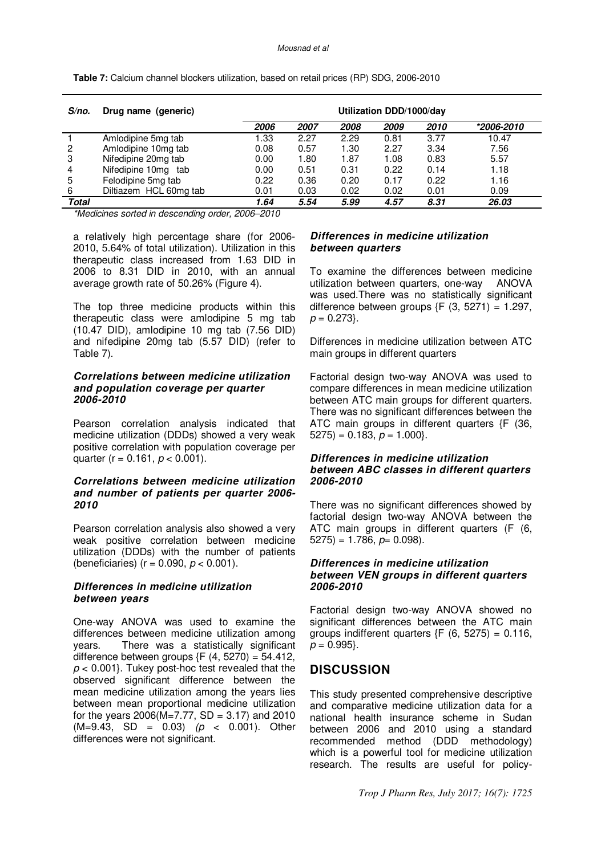| Table 7: Calcium channel blockers utilization, based on retail prices (RP) SDG, 2006-2010 |  |  |
|-------------------------------------------------------------------------------------------|--|--|
|-------------------------------------------------------------------------------------------|--|--|

| S/no. | Drug name (generic)    | Utilization DDD/1000/day |      |      |      |      |            |
|-------|------------------------|--------------------------|------|------|------|------|------------|
|       |                        | 2006                     | 2007 | 2008 | 2009 | 2010 | *2006-2010 |
|       | Amlodipine 5mg tab     | .33                      | 2.27 | 2.29 | 0.81 | 3.77 | 10.47      |
| 2     | Amlodipine 10mg tab    | 0.08                     | 0.57 | 1.30 | 2.27 | 3.34 | 7.56       |
| 3     | Nifedipine 20mg tab    | 0.00                     | 1.80 | 1.87 | 1.08 | 0.83 | 5.57       |
| 4     | Nifedipine 10mg tab    | 0.00                     | 0.51 | 0.31 | 0.22 | 0.14 | 1.18       |
| 5     | Felodipine 5mg tab     | 0.22                     | 0.36 | 0.20 | 0.17 | 0.22 | 1.16       |
| 6     | Diltiazem HCL 60mg tab | 0.01                     | 0.03 | 0.02 | 0.02 | 0.01 | 0.09       |
| Total |                        | 1.64                     | 5.54 | 5.99 | 4.57 | 8.31 | 26.03      |

\*Medicines sorted in descending order, 2006–2010

a relatively high percentage share (for 2006- 2010, 5.64% of total utilization). Utilization in this therapeutic class increased from 1.63 DID in 2006 to 8.31 DID in 2010, with an annual average growth rate of 50.26% (Figure 4).

The top three medicine products within this therapeutic class were amlodipine 5 mg tab (10.47 DID), amlodipine 10 mg tab (7.56 DID) and nifedipine 20mg tab (5.57 DID) (refer to Table 7).

#### *Correlations between medicine utilization and population coverage per quarter 2006-2010*

Pearson correlation analysis indicated that medicine utilization (DDDs) showed a very weak positive correlation with population coverage per quarter ( $r = 0.161$ ,  $p < 0.001$ ).

#### *Correlations between medicine utilization and number of patients per quarter 2006- 2010*

Pearson correlation analysis also showed a very weak positive correlation between medicine utilization (DDDs) with the number of patients (beneficiaries) ( $r = 0.090$ ,  $p < 0.001$ ).

### *Differences in medicine utilization between years*

One-way ANOVA was used to examine the differences between medicine utilization among years. There was a statistically significant difference between groups  ${F (4, 5270) = 54.412}$ ,  $p < 0.001$ . Tukey post-hoc test revealed that the observed significant difference between the mean medicine utilization among the years lies between mean proportional medicine utilization for the years  $2006(M=7.77, SD = 3.17)$  and  $2010$  $(M=9.43, SD = 0.03)$  ( $p < 0.001$ ). Other differences were not significant.

#### *Differences in medicine utilization between quarters*

To examine the differences between medicine utilization between quarters, one-way ANOVA was used.There was no statistically significant difference between groups  $\{F(3, 5271) = 1.297,$  $p = 0.273$ .

Differences in medicine utilization between ATC main groups in different quarters

Factorial design two-way ANOVA was used to compare differences in mean medicine utilization between ATC main groups for different quarters. There was no significant differences between the ATC main groups in different quarters {F (36,  $5275$ ) = 0.183,  $p = 1.000$ .

#### *Differences in medicine utilization between ABC classes in different quarters 2006-2010*

There was no significant differences showed by factorial design two-way ANOVA between the ATC main groups in different quarters (F (6,  $5275$ ) = 1.786,  $p= 0.098$ ).

#### *Differences in medicine utilization between VEN groups in different quarters 2006-2010*

Factorial design two-way ANOVA showed no significant differences between the ATC main groups indifferent quarters  $\{F (6, 5275) = 0.116,$  $p = 0.995$ .

### **DISCUSSION**

This study presented comprehensive descriptive and comparative medicine utilization data for a national health insurance scheme in Sudan between 2006 and 2010 using a standard recommended method (DDD methodology) which is a powerful tool for medicine utilization research. The results are useful for policy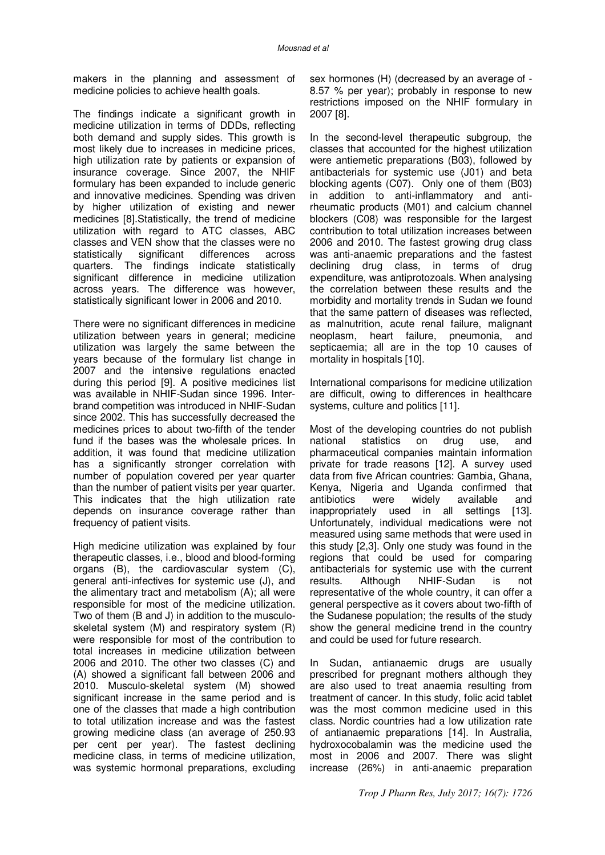makers in the planning and assessment of medicine policies to achieve health goals.

The findings indicate a significant growth in medicine utilization in terms of DDDs, reflecting both demand and supply sides. This growth is most likely due to increases in medicine prices, high utilization rate by patients or expansion of insurance coverage. Since 2007, the NHIF formulary has been expanded to include generic and innovative medicines. Spending was driven by higher utilization of existing and newer medicines [8].Statistically, the trend of medicine utilization with regard to ATC classes, ABC classes and VEN show that the classes were no<br>statistically significant differences across statistically significant differences across quarters. The findings indicate statistically significant difference in medicine utilization across years. The difference was however, statistically significant lower in 2006 and 2010.

There were no significant differences in medicine utilization between years in general; medicine utilization was largely the same between the years because of the formulary list change in 2007 and the intensive regulations enacted during this period [9]. A positive medicines list was available in NHIF-Sudan since 1996. Interbrand competition was introduced in NHIF-Sudan since 2002. This has successfully decreased the medicines prices to about two-fifth of the tender fund if the bases was the wholesale prices. In addition, it was found that medicine utilization has a significantly stronger correlation with number of population covered per year quarter than the number of patient visits per year quarter. This indicates that the high utilization rate depends on insurance coverage rather than frequency of patient visits.

High medicine utilization was explained by four therapeutic classes, i.e., blood and blood-forming organs (B), the cardiovascular system (C), general anti-infectives for systemic use (J), and the alimentary tract and metabolism (A); all were responsible for most of the medicine utilization. Two of them (B and J) in addition to the musculoskeletal system (M) and respiratory system (R) were responsible for most of the contribution to total increases in medicine utilization between 2006 and 2010. The other two classes (C) and (A) showed a significant fall between 2006 and 2010. Musculo-skeletal system (M) showed significant increase in the same period and is one of the classes that made a high contribution to total utilization increase and was the fastest growing medicine class (an average of 250.93 per cent per year). The fastest declining medicine class, in terms of medicine utilization, was systemic hormonal preparations, excluding

sex hormones (H) (decreased by an average of - 8.57 % per year); probably in response to new restrictions imposed on the NHIF formulary in 2007 [8].

In the second-level therapeutic subgroup, the classes that accounted for the highest utilization were antiemetic preparations (B03), followed by antibacterials for systemic use (J01) and beta blocking agents (C07). Only one of them (B03) in addition to anti-inflammatory and antirheumatic products (M01) and calcium channel blockers (C08) was responsible for the largest contribution to total utilization increases between 2006 and 2010. The fastest growing drug class was anti-anaemic preparations and the fastest declining drug class, in terms of drug expenditure, was antiprotozoals. When analysing the correlation between these results and the morbidity and mortality trends in Sudan we found that the same pattern of diseases was reflected, as malnutrition, acute renal failure, malignant neoplasm, heart failure, pneumonia, and septicaemia; all are in the top 10 causes of mortality in hospitals [10].

International comparisons for medicine utilization are difficult, owing to differences in healthcare systems, culture and politics [11].

Most of the developing countries do not publish national statistics on drug use, and pharmaceutical companies maintain information private for trade reasons [12]. A survey used data from five African countries: Gambia, Ghana, Kenya, Nigeria and Uganda confirmed that antibiotics were widely available and inappropriately used in all settings [13]. Unfortunately, individual medications were not measured using same methods that were used in this study [2,3]. Only one study was found in the regions that could be used for comparing antibacterials for systemic use with the current results. Although NHIF-Sudan is not representative of the whole country, it can offer a general perspective as it covers about two-fifth of the Sudanese population; the results of the study show the general medicine trend in the country and could be used for future research.

In Sudan, antianaemic drugs are usually prescribed for pregnant mothers although they are also used to treat anaemia resulting from treatment of cancer. In this study, folic acid tablet was the most common medicine used in this class. Nordic countries had a low utilization rate of antianaemic preparations [14]. In Australia, hydroxocobalamin was the medicine used the most in 2006 and 2007. There was slight increase (26%) in anti-anaemic preparation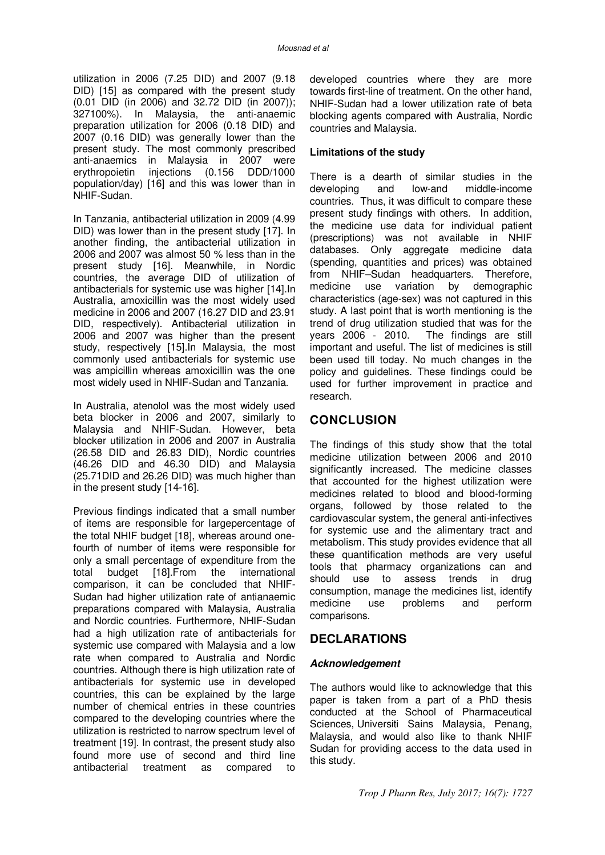utilization in 2006 (7.25 DID) and 2007 (9.18 DID) [15] as compared with the present study (0.01 DID (in 2006) and 32.72 DID (in 2007)); 327100%). In Malaysia, the anti-anaemic preparation utilization for 2006 (0.18 DID) and 2007 (0.16 DID) was generally lower than the present study. The most commonly prescribed anti-anaemics in Malaysia in 2007 were erythropoietin injections (0.156 DDD/1000 population/day) [16] and this was lower than in NHIF-Sudan.

In Tanzania, antibacterial utilization in 2009 (4.99 DID) was lower than in the present study [17]. In another finding, the antibacterial utilization in 2006 and 2007 was almost 50 % less than in the present study [16]. Meanwhile, in Nordic countries, the average DID of utilization of antibacterials for systemic use was higher [14].In Australia, amoxicillin was the most widely used medicine in 2006 and 2007 (16.27 DID and 23.91 DID, respectively). Antibacterial utilization in 2006 and 2007 was higher than the present study, respectively [15].In Malaysia, the most commonly used antibacterials for systemic use was ampicillin whereas amoxicillin was the one most widely used in NHIF-Sudan and Tanzania.

In Australia, atenolol was the most widely used beta blocker in 2006 and 2007, similarly to Malaysia and NHIF-Sudan. However, beta blocker utilization in 2006 and 2007 in Australia (26.58 DID and 26.83 DID), Nordic countries (46.26 DID and 46.30 DID) and Malaysia (25.71DID and 26.26 DID) was much higher than in the present study [14-16].

Previous findings indicated that a small number of items are responsible for largepercentage of the total NHIF budget [18], whereas around onefourth of number of items were responsible for only a small percentage of expenditure from the total budget [18].From the international comparison, it can be concluded that NHIF-Sudan had higher utilization rate of antianaemic preparations compared with Malaysia, Australia and Nordic countries. Furthermore, NHIF-Sudan had a high utilization rate of antibacterials for systemic use compared with Malaysia and a low rate when compared to Australia and Nordic countries. Although there is high utilization rate of antibacterials for systemic use in developed countries, this can be explained by the large number of chemical entries in these countries compared to the developing countries where the utilization is restricted to narrow spectrum level of treatment [19]. In contrast, the present study also found more use of second and third line antibacterial treatment as compared to

developed countries where they are more towards first-line of treatment. On the other hand, NHIF-Sudan had a lower utilization rate of beta blocking agents compared with Australia, Nordic countries and Malaysia.

### **Limitations of the study**

There is a dearth of similar studies in the developing and low-and middle-income countries. Thus, it was difficult to compare these present study findings with others. In addition, the medicine use data for individual patient (prescriptions) was not available in NHIF databases. Only aggregate medicine data (spending, quantities and prices) was obtained from NHIF–Sudan headquarters. Therefore, medicine use variation by demographic characteristics (age-sex) was not captured in this study. A last point that is worth mentioning is the trend of drug utilization studied that was for the years 2006 ‐ 2010. The findings are still important and useful. The list of medicines is still been used till today. No much changes in the policy and guidelines. These findings could be used for further improvement in practice and research.

# **CONCLUSION**

The findings of this study show that the total medicine utilization between 2006 and 2010 significantly increased. The medicine classes that accounted for the highest utilization were medicines related to blood and blood-forming organs, followed by those related to the cardiovascular system, the general anti-infectives for systemic use and the alimentary tract and metabolism. This study provides evidence that all these quantification methods are very useful tools that pharmacy organizations can and should use to assess trends in drug consumption, manage the medicines list, identify medicine use problems and perform comparisons.

# **DECLARATIONS**

# *Acknowledgement*

The authors would like to acknowledge that this paper is taken from a part of a PhD thesis conducted at the School of Pharmaceutical Sciences, Universiti Sains Malaysia, Penang, Malaysia, and would also like to thank NHIF Sudan for providing access to the data used in this study.